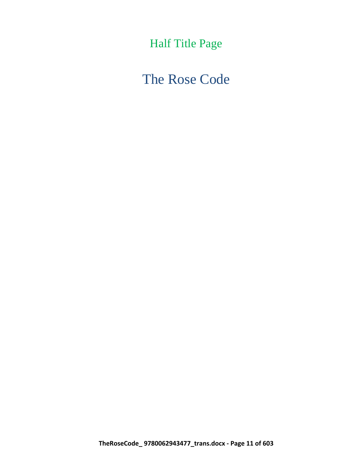Half Title Page

The Rose Code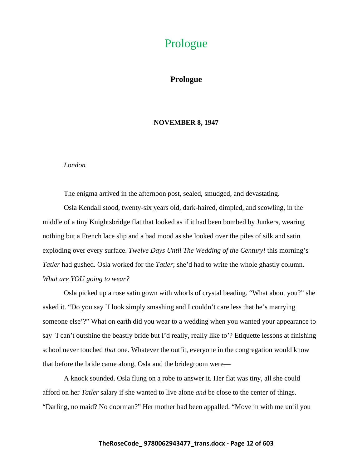# Prologue

# **Prologue**

#### **NOVEMBER 8, 1947**

#### *London*

The enigma arrived in the afternoon post, sealed, smudged, and devastating.

Osla Kendall stood, twenty-six years old, dark-haired, dimpled, and scowling, in the middle of a tiny Knightsbridge flat that looked as if it had been bombed by Junkers, wearing nothing but a French lace slip and a bad mood as she looked over the piles of silk and satin exploding over every surface. *Twelve Days Until The Wedding of the Century!* this morning's *Tatler* had gushed. Osla worked for the *Tatler*; she'd had to write the whole ghastly column. *What are YOU going to wear?*

Osla picked up a rose satin gown with whorls of crystal beading. "What about you?" she asked it. "Do you say `I look simply smashing and I couldn't care less that he's marrying someone else'?" What on earth did you wear to a wedding when you wanted your appearance to say `I can't outshine the beastly bride but I'd really, really like to'? Etiquette lessons at finishing school never touched *that* one. Whatever the outfit, everyone in the congregation would know that before the bride came along, Osla and the bridegroom were—

A knock sounded. Osla flung on a robe to answer it. Her flat was tiny, all she could afford on her *Tatler* salary if she wanted to live alone *and* be close to the center of things. "Darling, no maid? No doorman?" Her mother had been appalled. "Move in with me until you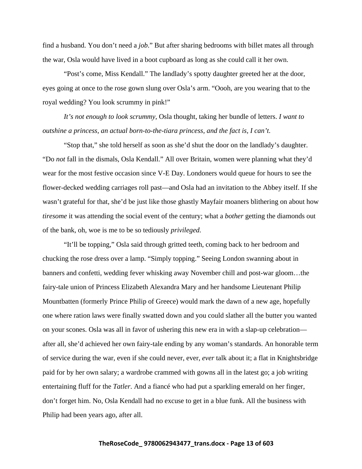find a husband. You don't need a *job*." But after sharing bedrooms with billet mates all through the war, Osla would have lived in a boot cupboard as long as she could call it her own.

"Post's come, Miss Kendall." The landlady's spotty daughter greeted her at the door, eyes going at once to the rose gown slung over Osla's arm. "Oooh, are you wearing that to the royal wedding? You look scrummy in pink!"

*It's not enough to look scrummy,* Osla thought, taking her bundle of letters. *I want to outshine a princess, an actual born-to-the-tiara princess, and the fact is, I can't.*

"Stop that," she told herself as soon as she'd shut the door on the landlady's daughter. "Do *not* fall in the dismals, Osla Kendall." All over Britain, women were planning what they'd wear for the most festive occasion since V-E Day. Londoners would queue for hours to see the flower-decked wedding carriages roll past—and Osla had an invitation to the Abbey itself. If she wasn't grateful for that, she'd be just like those ghastly Mayfair moaners blithering on about how *tiresome* it was attending the social event of the century; what a *bother* getting the diamonds out of the bank, oh, woe is me to be so tediously *privileged.*

"It'll be topping," Osla said through gritted teeth, coming back to her bedroom and chucking the rose dress over a lamp. "Simply topping." Seeing London swanning about in banners and confetti, wedding fever whisking away November chill and post-war gloom…the fairy-tale union of Princess Elizabeth Alexandra Mary and her handsome Lieutenant Philip Mountbatten (formerly Prince Philip of Greece) would mark the dawn of a new age, hopefully one where ration laws were finally swatted down and you could slather all the butter you wanted on your scones. Osla was all in favor of ushering this new era in with a slap-up celebration after all, she'd achieved her own fairy-tale ending by any woman's standards. An honorable term of service during the war, even if she could never, ever, *ever* talk about it; a flat in Knightsbridge paid for by her own salary; a wardrobe crammed with gowns all in the latest go; a job writing entertaining fluff for the *Tatler*. And a fiancé who had put a sparkling emerald on her finger, don't forget him. No, Osla Kendall had no excuse to get in a blue funk. All the business with Philip had been years ago, after all.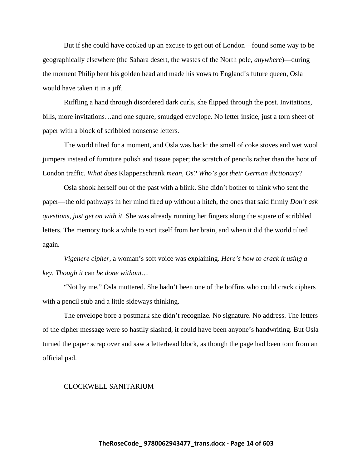But if she could have cooked up an excuse to get out of London—found some way to be geographically elsewhere (the Sahara desert, the wastes of the North pole, *anywhere*)—during the moment Philip bent his golden head and made his vows to England's future queen, Osla would have taken it in a jiff.

Ruffling a hand through disordered dark curls, she flipped through the post. Invitations, bills, more invitations…and one square, smudged envelope. No letter inside, just a torn sheet of paper with a block of scribbled nonsense letters.

The world tilted for a moment, and Osla was back: the smell of coke stoves and wet wool jumpers instead of furniture polish and tissue paper; the scratch of pencils rather than the hoot of London traffic. *What does* Klappenschrank *mean, Os? Who's got their German dictionary*?

Osla shook herself out of the past with a blink. She didn't bother to think who sent the paper—the old pathways in her mind fired up without a hitch, the ones that said firmly *Don't ask questions, just get on with it*. She was already running her fingers along the square of scribbled letters. The memory took a while to sort itself from her brain, and when it did the world tilted again.

*Vigenere cipher,* a woman's soft voice was explaining. *Here's how to crack it using a key. Though it* can *be done without…*

"Not by me," Osla muttered. She hadn't been one of the boffins who could crack ciphers with a pencil stub and a little sideways thinking.

The envelope bore a postmark she didn't recognize. No signature. No address. The letters of the cipher message were so hastily slashed, it could have been anyone's handwriting. But Osla turned the paper scrap over and saw a letterhead block, as though the page had been torn from an official pad.

#### CLOCKWELL SANITARIUM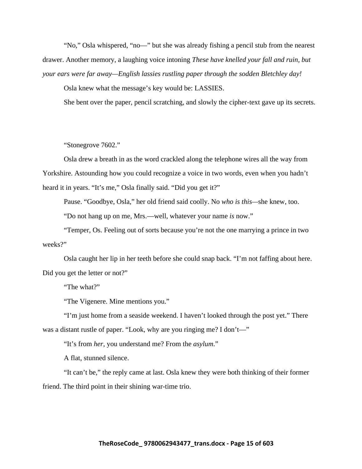"No," Osla whispered, "no—" but she was already fishing a pencil stub from the nearest drawer. Another memory, a laughing voice intoning *These have knelled your fall and ruin, but your ears were far away—English lassies rustling paper through the sodden Bletchley day!* 

Osla knew what the message's key would be: LASSIES.

She bent over the paper, pencil scratching, and slowly the cipher-text gave up its secrets.

### "Stonegrove 7602."

Osla drew a breath in as the word crackled along the telephone wires all the way from Yorkshire. Astounding how you could recognize a voice in two words, even when you hadn't heard it in years. "It's me," Osla finally said. "Did you get it?"

Pause. "Goodbye, Osla," her old friend said coolly. No *who is this—*she knew, too.

"Do not hang up on me, Mrs.—well, whatever your name *is* now."

"Temper, Os. Feeling out of sorts because you're not the one marrying a prince in two weeks?"

Osla caught her lip in her teeth before she could snap back. "I'm not faffing about here. Did you get the letter or not?"

"The what?"

"The Vigenere. Mine mentions you."

"I'm just home from a seaside weekend. I haven't looked through the post yet." There was a distant rustle of paper. "Look, why are you ringing me? I don't—"

"It's from *her,* you understand me? From the *asylum*."

A flat, stunned silence.

"It can't be," the reply came at last. Osla knew they were both thinking of their former friend. The third point in their shining war-time trio.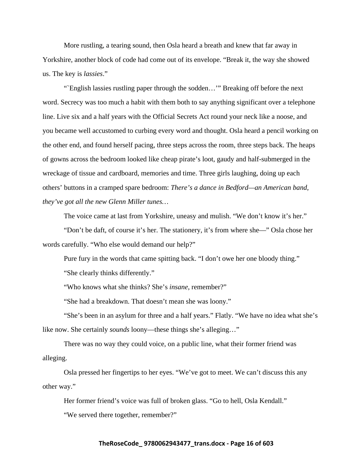More rustling, a tearing sound, then Osla heard a breath and knew that far away in Yorkshire, another block of code had come out of its envelope. "Break it, the way she showed us. The key is *lassies*."

"`English lassies rustling paper through the sodden…'" Breaking off before the next word. Secrecy was too much a habit with them both to say anything significant over a telephone line. Live six and a half years with the Official Secrets Act round your neck like a noose, and you became well accustomed to curbing every word and thought. Osla heard a pencil working on the other end, and found herself pacing, three steps across the room, three steps back. The heaps of gowns across the bedroom looked like cheap pirate's loot, gaudy and half-submerged in the wreckage of tissue and cardboard, memories and time. Three girls laughing, doing up each others' buttons in a cramped spare bedroom: *There's a dance in Bedford—an American band, they've got all the new Glenn Miller tunes…*

The voice came at last from Yorkshire, uneasy and mulish. "We don't know it's her."

"Don't be daft, of course it's her. The stationery, it's from where she—" Osla chose her words carefully. "Who else would demand our help?"

Pure fury in the words that came spitting back. "I don't owe her one bloody thing."

"She clearly thinks differently."

"Who knows what she thinks? She's *insane*, remember?"

"She had a breakdown. That doesn't mean she was loony."

"She's been in an asylum for three and a half years." Flatly. "We have no idea what she's like now. She certainly *sounds* loony—these things she's alleging…"

There was no way they could voice, on a public line, what their former friend was alleging.

Osla pressed her fingertips to her eyes. "We've got to meet. We can't discuss this any other way."

Her former friend's voice was full of broken glass. "Go to hell, Osla Kendall."

"We served there together, remember?"